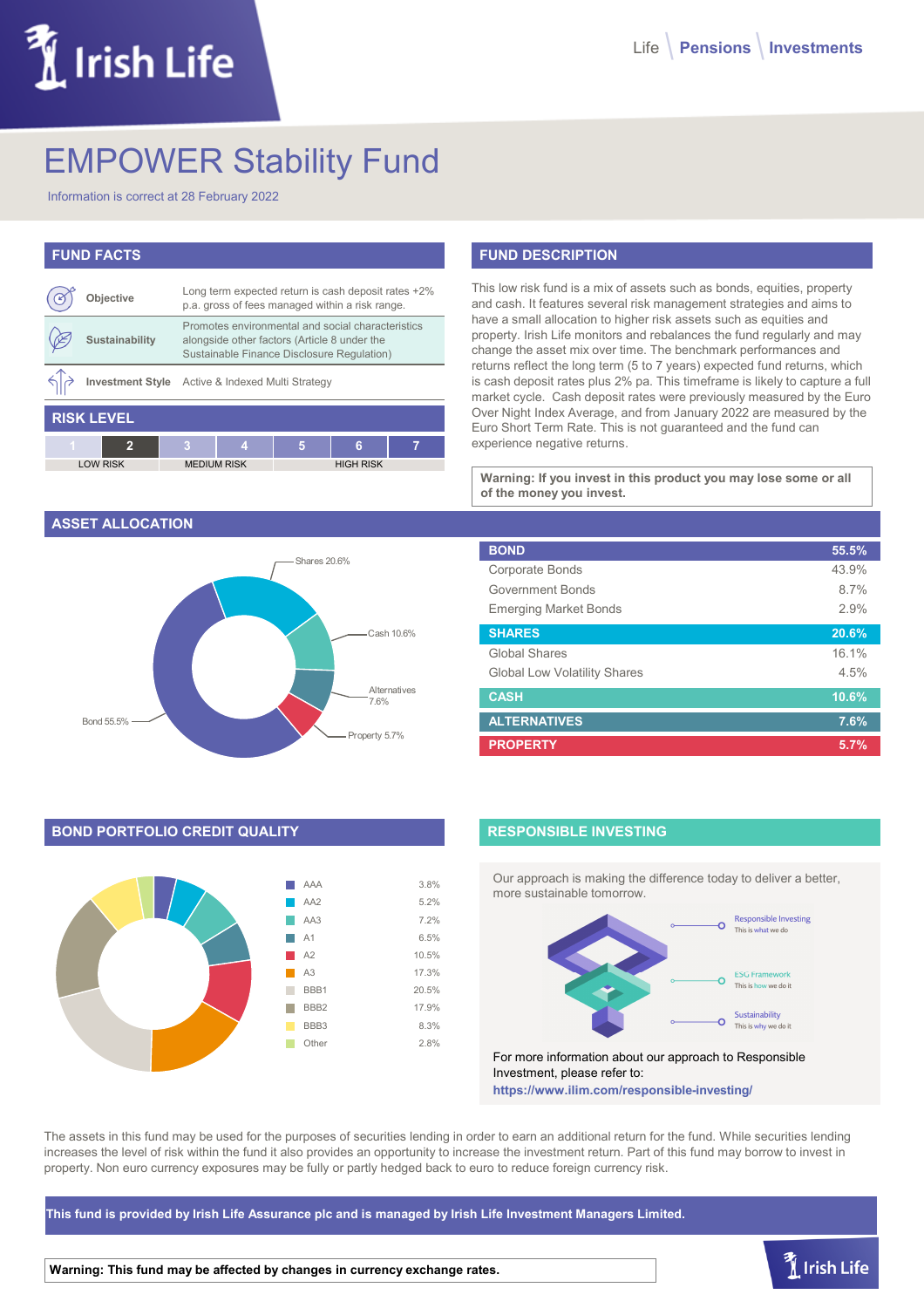# Irish Life

# EMPOWER Stability Fund

Information is correct at 28 February 2022

| <b>FUND FACTS</b> |                         |                                                                                                                                                 |                    |   |                  |   |
|-------------------|-------------------------|-------------------------------------------------------------------------------------------------------------------------------------------------|--------------------|---|------------------|---|
|                   | Objective               | Long term expected return is cash deposit rates +2%<br>p.a. gross of fees managed within a risk range.                                          |                    |   |                  |   |
|                   | <b>Sustainability</b>   | Promotes environmental and social characteristics<br>alongside other factors (Article 8 under the<br>Sustainable Finance Disclosure Regulation) |                    |   |                  |   |
|                   | <b>Investment Style</b> | Active & Indexed Multi Strategy                                                                                                                 |                    |   |                  |   |
| <b>RISK LEVEL</b> |                         |                                                                                                                                                 |                    |   |                  |   |
|                   | 2                       | з                                                                                                                                               | Λ                  | 5 | ิค               | 7 |
| <b>LOW RISK</b>   |                         |                                                                                                                                                 | <b>MEDIUM RISK</b> |   | <b>HIGH RISK</b> |   |

#### **ASSET ALLOCATION**



# **BOND PORTFOLIO CREDIT QUALITY**



# **FUND DESCRIPTION**

This low risk fund is a mix of assets such as bonds, equities, property and cash. It features several risk management strategies and aims to have a small allocation to higher risk assets such as equities and property. Irish Life monitors and rebalances the fund regularly and may change the asset mix over time. The benchmark performances and returns reflect the long term (5 to 7 years) expected fund returns, which is cash deposit rates plus 2% pa. This timeframe is likely to capture a full market cycle. Cash deposit rates were previously measured by the Euro Over Night Index Average, and from January 2022 are measured by the Euro Short Term Rate. This is not guaranteed and the fund can experience negative returns.

**Warning: If you invest in this product you may lose some or all of the money you invest.**

| <b>BOND</b>                         | 55.5% |
|-------------------------------------|-------|
| Corporate Bonds                     | 43.9% |
| Government Bonds                    | 8.7%  |
| <b>Emerging Market Bonds</b>        | 2.9%  |
| <b>SHARES</b>                       | 20.6% |
| Global Shares                       | 16.1% |
| <b>Global Low Volatility Shares</b> | 4.5%  |
| <b>CASH</b>                         | 10.6% |
| <b>ALTERNATIVES</b>                 | 7.6%  |
| <b>PROPERTY</b>                     | 5.7%  |

## **RESPONSIBLE INVESTING**

Our approach is making the difference today to deliver a better, more sustainable tomorrow.



For more information about our approach to Responsible Investment, please refer to: **https://www.ilim.com/responsible-investing/**

The assets in this fund may be used for the purposes of securities lending in order to earn an additional return for the fund. While securities lending increases the level of risk within the fund it also provides an opportunity to increase the investment return. Part of this fund may borrow to invest in property. Non euro currency exposures may be fully or partly hedged back to euro to reduce foreign currency risk.

**This fund is provided by Irish Life Assurance plc and is managed by Irish Life Investment Managers Limited.**

**Warning: This fund may be affected by changes in currency exchange rates.**

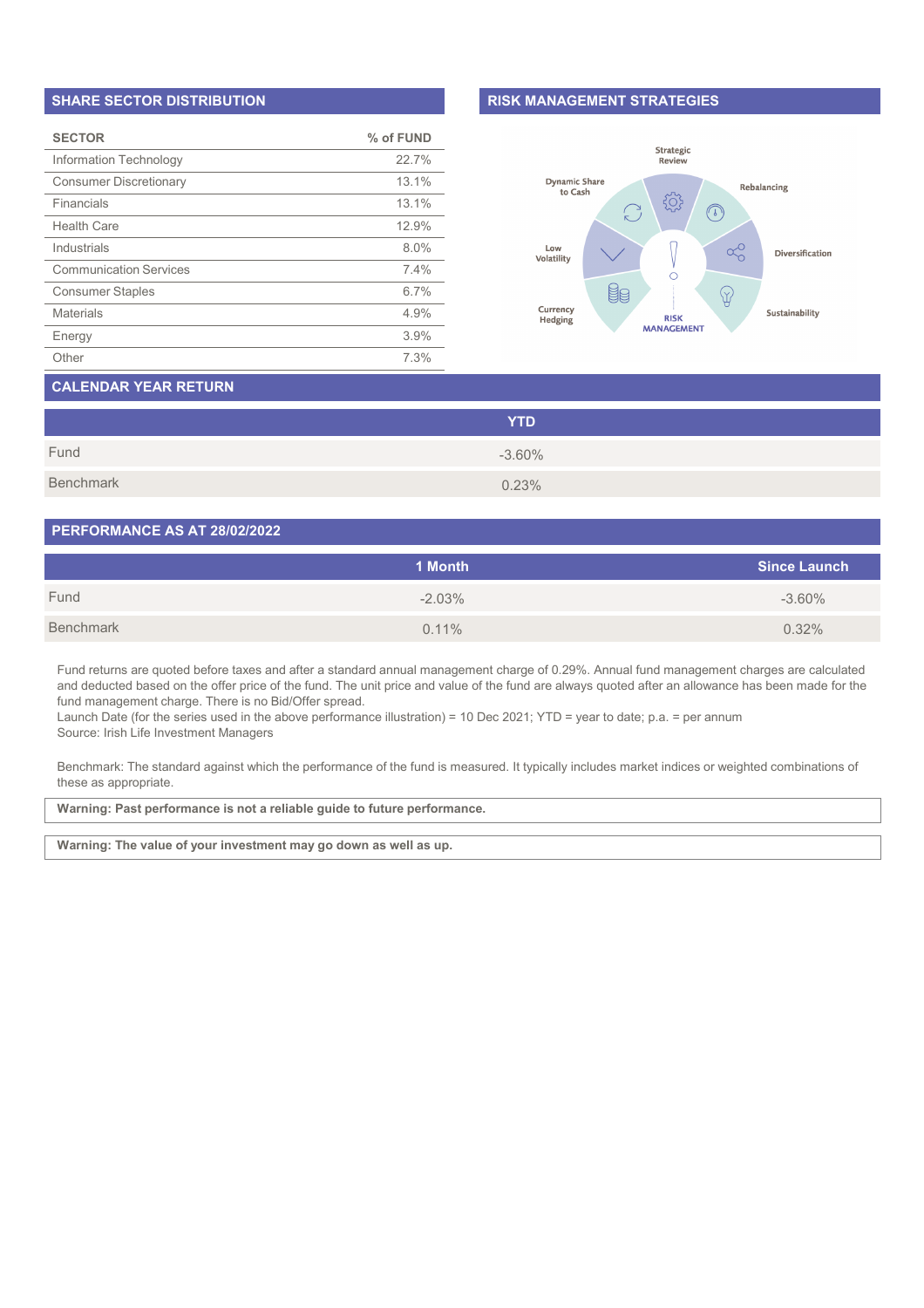#### **SHARE SECTOR DISTRIBUTION**

| <b>SECTOR</b>                 | % of FUND |
|-------------------------------|-----------|
| Information Technology        | 22.7%     |
| <b>Consumer Discretionary</b> | 13.1%     |
| Financials                    | 13.1%     |
| <b>Health Care</b>            | 12.9%     |
| Industrials                   | 8.0%      |
| <b>Communication Services</b> | 7.4%      |
| <b>Consumer Staples</b>       | 6.7%      |
| <b>Materials</b>              | 4.9%      |
| Energy                        | 3.9%      |
| Other                         | 7.3%      |

#### **RISK MANAGEMENT STRATEGIES**



# **CALENDAR YEAR RETURN**

|           | <b>YTD</b> |
|-----------|------------|
| Fund      | $-3.60%$   |
| Benchmark | 0.23%      |

#### **PERFORMANCE AS AT 28/02/2022**

|           | 1 Month  | <b>Since Launch</b> |
|-----------|----------|---------------------|
| Fund      | $-2.03%$ | $-3.60\%$           |
| Benchmark | $0.11\%$ | 0.32%               |

Fund returns are quoted before taxes and after a standard annual management charge of 0.29%. Annual fund management charges are calculated and deducted based on the offer price of the fund. The unit price and value of the fund are always quoted after an allowance has been made for the fund management charge. There is no Bid/Offer spread.

Launch Date (for the series used in the above performance illustration) = 10 Dec 2021; YTD = year to date; p.a. = per annum Source: Irish Life Investment Managers

Benchmark: The standard against which the performance of the fund is measured. It typically includes market indices or weighted combinations of these as appropriate.

**Warning: Past performance is not a reliable guide to future performance.**

**Warning: The value of your investment may go down as well as up.**